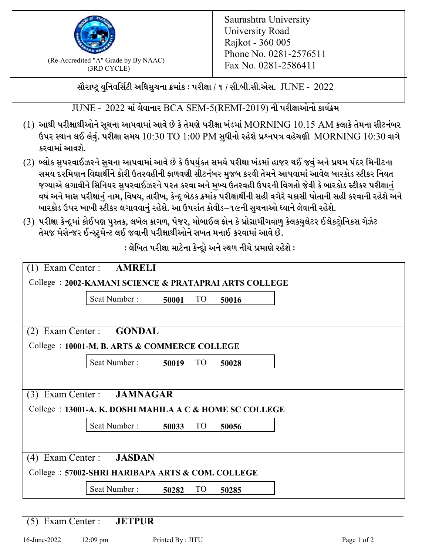

 $F_{\text{R}}$  (Re-Accredited "A" Grade by By NAAC)<br>(3PD CVCLE)<br> $F_{\text{R}}$  No. 0281-2586411 (3RD CYCLE)

સૌરાષ્ટ્ર યુનિવર્સિટી અધિસુચના ક્રમાંક : પરીક્ષા / ૧ / સી.બી.સી.એસ.  $\,$  JUNE -  $\,2022$ 

 $JUNE - 2022$  માં લેવાનાર BCA SEM-5(REMI-2019) ની પરીક્ષાઓનો કાર્યક્રમ

- $(1)$  આથી પરીક્ષાર્થીઓને સૂચના આપવામાં આવે છે કે તેમણે પરીક્ષા ખંડમાં  $\operatorname{MORNING}$   $10.15$   $\operatorname{AM}$  કલાકે તેમના સીટનંબર ઉપર સ્થાન લઈ લેવું. પરીક્ષા સમય  $10:30 \text{ TO } 1:00 \text{ PM}$  સુધીનો રહેશે પ્રશ્નપત્ર વહેચણી  $\text{MORNING } 10:30$  વાગે કરવામાં આવશે.
- (2) બ્લોક સુપરવાઈઝરને સુચના આપવામાં આવે છે કે ઉપર્યુકત સમયે પરીક્ષા ખંડમાં હાજર થઈ જવું અને પ્રથમ પંદર મિનીટના સમય દરમિયાન વિદ્યાર્થીને કોરી ઉતરવહીની ફાળવણી સીટનંબર મજબ કરવી તેમને આપવામાં આવેલ બારકોડ સ્ટીકર નિયત જગ્યાએ લગાવીને સિનિયર સુપરવાઈઝરને પરત કરવા અને મુખ્ય ઉતરવહી ઉપરની વિગતો જેવી કે બારકોડ સ્ટીકર પરીક્ષ<u>ાન</u>ં વર્ષ અને માસ પરીક્ષાનું નામ, વિષય, તારીખ, કેન્દ્ર બેઠક ક્રમાંક પરીક્ષાર્થીની સહી વગેરે ચકાસી પોતાની સહી કરવાની રહેશે અને બારકોડ ઉપર ખાખી સ્ટીકર લગાવવાનં રહેશે. આ ઉપરાંત કોવીડ–૧૯ની સચનાઓ ધ્યાને લેવાની રહેશે.
- (3) પરીક્ષા કેન્દ્રમાં કોઈપણ પુસ્તક, લખેલ કાગળ, પેજર, મોબાઈલ ફોન કે પ્રોગ્રામીંગવાળુ કેલકયુલેટર ઈલેકટ્રોનિકસ ગેઝેટ તેમજ મેસેન્જર ઈન્સ્ટમેન્ટ લઈ જવાની પરીક્ષાર્થીઓને સખત મનાઈ કરવામાં આવે છે.

: લેખિત પરીક્ષા માટેના કેન્દ્રો અને સ્થળ નીચે પ્રમાણે રહેશે :

|                                                       | Exam Center : AMRELI                                     |       |                 |       |  |  |  |  |
|-------------------------------------------------------|----------------------------------------------------------|-------|-----------------|-------|--|--|--|--|
| College: 2002-KAMANI SCIENCE & PRATAPRAI ARTS COLLEGE |                                                          |       |                 |       |  |  |  |  |
|                                                       | Seat Number:                                             | 50001 | TO <sub>1</sub> | 50016 |  |  |  |  |
|                                                       |                                                          |       |                 |       |  |  |  |  |
| (2)                                                   | Exam Center : GONDAL                                     |       |                 |       |  |  |  |  |
|                                                       | College: 10001-M. B. ARTS & COMMERCE COLLEGE             |       |                 |       |  |  |  |  |
|                                                       | Seat Number:                                             | 50019 | <b>TO</b>       | 50028 |  |  |  |  |
|                                                       |                                                          |       |                 |       |  |  |  |  |
| (3)                                                   | Exam Center: JAMNAGAR                                    |       |                 |       |  |  |  |  |
|                                                       | College : 13001-A. K. DOSHI MAHILA A C & HOME SC COLLEGE |       |                 |       |  |  |  |  |
|                                                       | Seat Number:                                             | 50033 | <b>TO</b>       | 50056 |  |  |  |  |
|                                                       |                                                          |       |                 |       |  |  |  |  |
| Exam Center :<br><b>JASDAN</b><br>(4)                 |                                                          |       |                 |       |  |  |  |  |
| College: 57002-SHRI HARIBAPA ARTS & COM. COLLEGE      |                                                          |       |                 |       |  |  |  |  |
|                                                       | Seat Number:                                             | 50282 | <b>TO</b>       | 50285 |  |  |  |  |

(5) Exam Center : **JETPUR**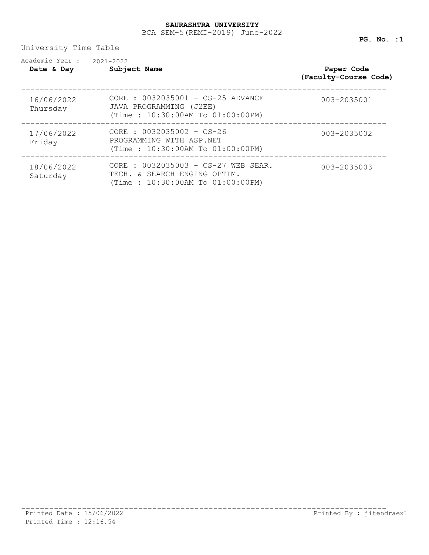University Time Table

| Academic Year :<br>Date & Day | 2021-2022<br>Subject Name                                                                               | Paper Code<br>(Faculty-Course Code) |
|-------------------------------|---------------------------------------------------------------------------------------------------------|-------------------------------------|
| 16/06/2022<br>Thursday        | CORE : 0032035001 - CS-25 ADVANCE<br>JAVA PROGRAMMING (J2EE)<br>(Time: 10:30:00AM To 01:00:00PM)        | 003-2035001                         |
| 17/06/2022<br>Friday          | $CORE: 0032035002 - CS-26$<br>PROGRAMMING WITH ASP.NET<br>(Time: 10:30:00AM To 01:00:00PM)              | 003-2035002                         |
| 18/06/2022<br>Saturday        | CORE : 0032035003 - CS-27 WEB SEAR.<br>TECH. & SEARCH ENGING OPTIM.<br>(Time: 10:30:00AM To 01:00:00PM) | 003-2035003                         |